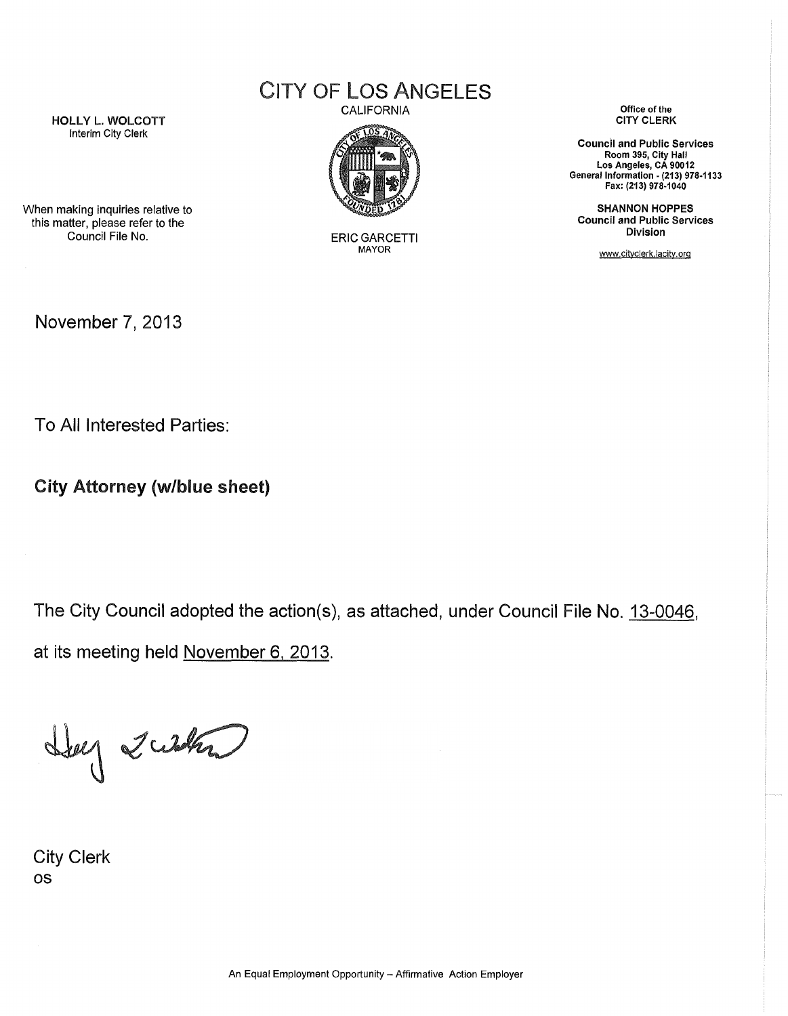## CITY OF LOS ANGELES

HOLLY **L. WOLCOTT** Interim City Clerk

CALIFORNIA



ERIC GARCETTI **MAYOR**

**Office of the CITY CLERK**

**Council and Public Services Room 395, City Hall Los Angeles, CA 90012 General Information - (213) 978-1133 Fax: (213) 978-1040**

**SHANNON HOPPES Council and Public Services Division**

www.cityclerk.lacity.org

When making inquiries relative to this matter, please refer to the Council File No.

November 7, 2013

To All Interested Parties:

**City Attorney (w/blue sheet)**

The City Council adopted the action(s), as attached, under Council File No. 13-0046. at its meeting held November 6, 2013.

Hey 2 what

City Clerk os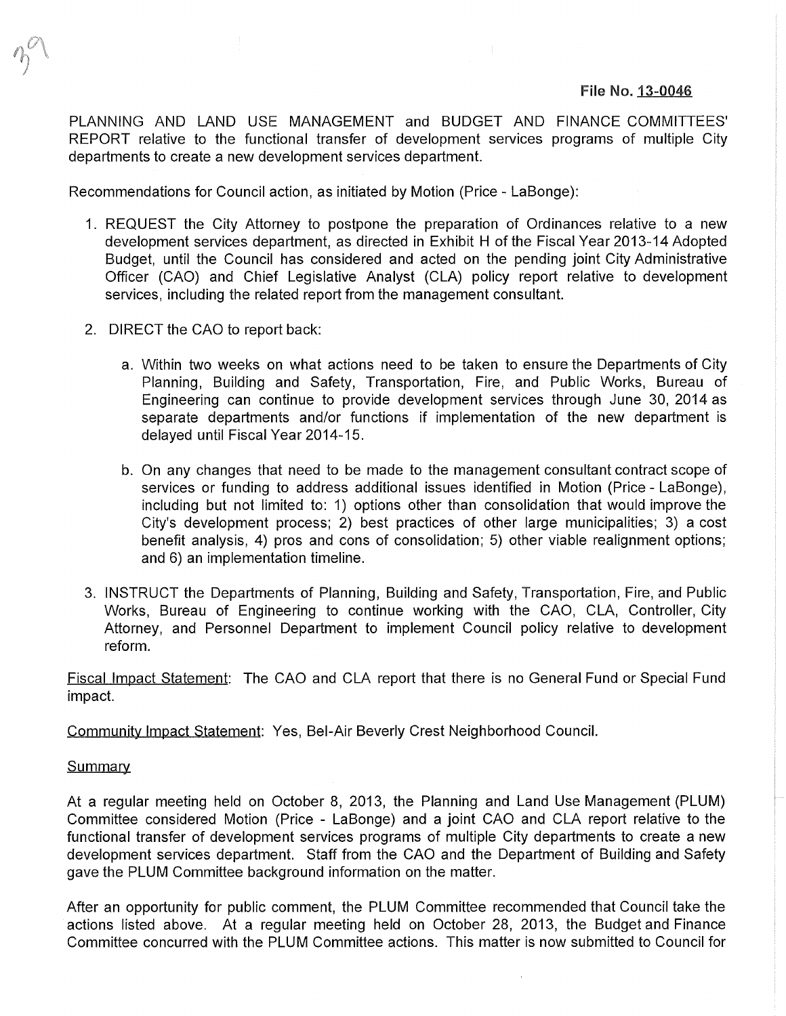## **File No. 13-0046**

PLANNING AND LAND USE MANAGEMENT and BUDGET AND FINANCE COMMITTEES' REPORT relative to the functional transfer of development services programs of multiple City departments to create a new development services department.

Recommendations for Council action, as initiated by Motion (Price - LaBonge):

- 1. REQUEST the City Attorney to postpone the preparation of Ordinances relative to a new development services department, as directed in Exhibit H of the Fiscal Year 2013-14 Adopted Budget, until the Council has considered and acted on the pending joint City Administrative Officer (CAO) and Chief Legislative Analyst (CLA) policy report relative to development services, including the related report from the management consultant.
- 2. DIRECT the CAO to report back:
	- a. Within two weeks on what actions need to be taken to ensure the Departments of City Planning, Building and Safety, Transportation, Fire, and Public Works, Bureau of Engineering can continue to provide development services through June 30, 2014 as separate departments and/or functions if implementation of the new department is delayed until Fiscal Year 2014-15.
	- b. On any changes that need to be made to the management consultant contract scope of services or funding to address additional issues identified in Motion (Price - LaBonge), including but not limited to: 1) options other than consolidation that would improve the City's development process; 2) best practices of other large municipalities; 3) a cost benefit analysis, 4) pros and cons of consolidation; 5) other viable realignment options; and 6) an implementation timeline.
- 3. INSTRUCT the Departments of Planning, Building and Safety, Transportation, Fire, and Public Works, Bureau of Engineering to continue working with the CAO, CLA, Controller, City Attorney, and Personnel Department to implement Council policy relative to development reform.

Fiscal Impact Statement: The CAO and CLA report that there is no General Fund or Special Fund impact.

Community Impact Statement: Yes, Bel-Air Beverly Crest Neighborhood Council.

## **Summary**

At a regular meeting held on October 8, 2013, the Planning and Land Use Management (PLUM) Committee considered Motion (Price - LaBonge) and a joint CAO and CLA report relative to the functional transfer of development services programs of multiple City departments to create a new development services department. Staff from the CAO and the Department of Building and Safety gave the PLUM Committee background information on the matter.

After an opportunity for public comment, the PLUM Committee recommended that Council take the actions listed above. At a regular meeting held on October 28, 2013, the Budget and Finance Committee concurred with the PLUM Committee actions. This matter is now submitted to Council for